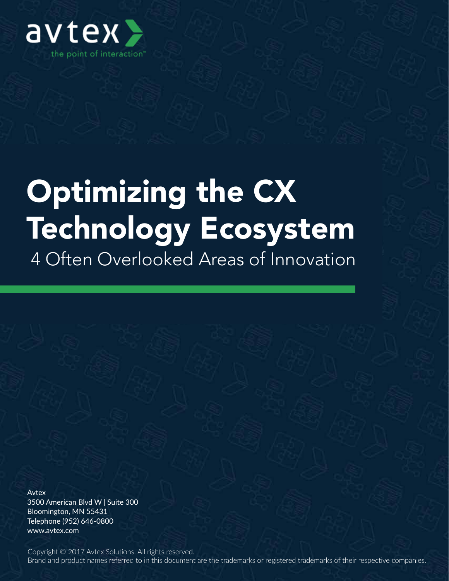

## Optimizing the CX Technology Ecosystem 4 Often Overlooked Areas of Innovation

Avtex

3500 American Blvd W | Suite 300 Bloomington, MN 55431 Telephone (952) 646-0800 www.avtex.com

Copyright © 2017 Avtex Solutions. All rights reserved. Brand and product names referred to in this document are the trademarks or registered trademarks of their respective companies.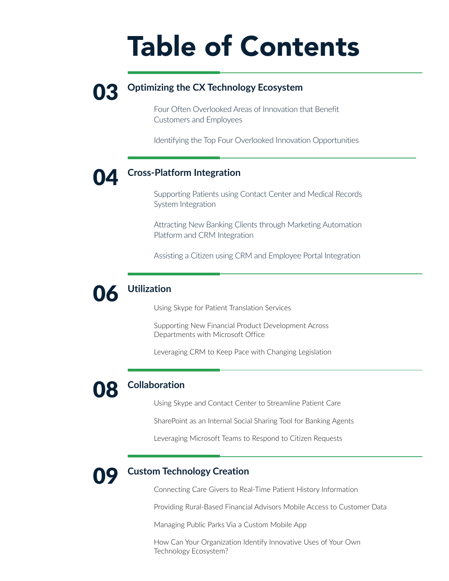## Table of Contents

### **03** Optimizing the CX Technology Ecosystem

Four Often Overlooked Areas of Innovation that Benefit Customers and Employees

Identifying the Top Four Overlooked Innovation Opportunities

#### 04 **Cross-Platform Integration**

Supporting Patients using Contact Center and Medical Records System Integration

Attracting New Banking Clients through Marketing Automation Platform and CRM Integration

Assisting a Citizen using CRM and Employee Portal Integration

### 06 **Utilization**

Using Skype for Patient Translation Services

Supporting New Financial Product Development Across Departments with Microsoft Office

Leveraging CRM to Keep Pace with Changing Legislation

### 08 **Collaboration**

Using Skype and Contact Center to Streamline Patient Care

SharePoint as an Internal Social Sharing Tool for Banking Agents

Leveraging Microsoft Teams to Respond to Citizen Requests



#### **Custom Technology Creation**

Connecting Care Givers to Real-Time Patient History Information

Providing Rural-Based Financial Advisors Mobile Access to Customer Data

Managing Public Parks Via a Custom Mobile App

How Can Your Organization Identify Innovative Uses of Your Own Technology Ecosystem?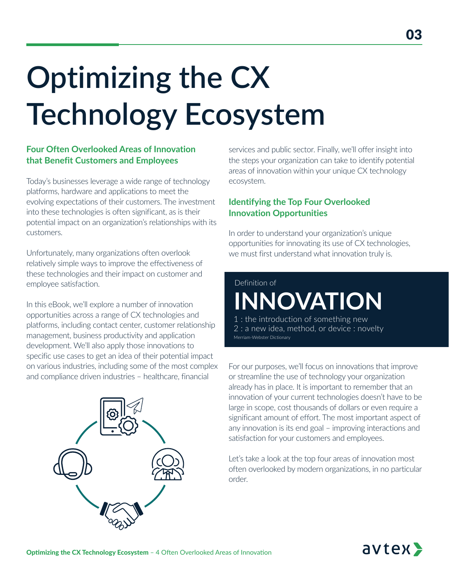# **Optimizing the CX Technology Ecosystem**

#### **Four Often Overlooked Areas of Innovation that Benefit Customers and Employees**

Today's businesses leverage a wide range of technology platforms, hardware and applications to meet the evolving expectations of their customers. The investment into these technologies is often significant, as is their potential impact on an organization's relationships with its customers.

Unfortunately, many organizations often overlook relatively simple ways to improve the effectiveness of these technologies and their impact on customer and employee satisfaction.

In this eBook, we'll explore a number of innovation opportunities across a range of CX technologies and platforms, including contact center, customer relationship management, business productivity and application development. We'll also apply those innovations to specific use cases to get an idea of their potential impact on various industries, including some of the most complex and compliance driven industries – healthcare, financial



services and public sector. Finally, we'll offer insight into the steps your organization can take to identify potential areas of innovation within your unique CX technology ecosystem.

#### **Identifying the Top Four Overlooked Innovation Opportunities**

In order to understand your organization's unique opportunities for innovating its use of CX technologies, we must first understand what innovation truly is.

## **INNOVATION** Definition of

the introduction of something new 2 : a new idea, method, or device : novelty Merriam-Webster Dictionary

For our purposes, we'll focus on innovations that improve or streamline the use of technology your organization already has in place. It is important to remember that an innovation of your current technologies doesn't have to be large in scope, cost thousands of dollars or even require a significant amount of effort. The most important aspect of any innovation is its end goal – improving interactions and satisfaction for your customers and employees.

Let's take a look at the top four areas of innovation most often overlooked by modern organizations, in no particular order.

## avtex>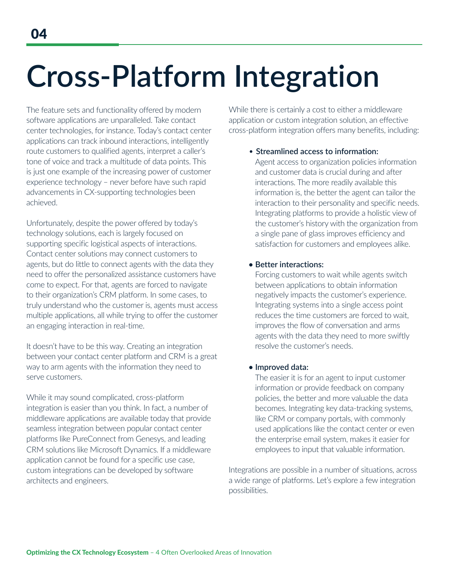## Cross-Pla **Integration Cross-Platform Integration**

The feature sets and functionality offered by modern software applications are unparalleled. Take contact center technologies, for instance. Today's contact center applications can track inbound interactions, intelligently route customers to qualified agents, interpret a caller's tone of voice and track a multitude of data points. This is just one example of the increasing power of customer experience technology – never before have such rapid advancements in CX-supporting technologies been achieved.

Unfortunately, despite the power offered by today's technology solutions, each is largely focused on supporting specific logistical aspects of interactions. Contact center solutions may connect customers to agents, but do little to connect agents with the data they need to offer the personalized assistance customers have come to expect. For that, agents are forced to navigate to their organization's CRM platform. In some cases, to truly understand who the customer is, agents must access multiple applications, all while trying to offer the customer an engaging interaction in real-time.

It doesn't have to be this way. Creating an integration between your contact center platform and CRM is a great way to arm agents with the information they need to serve customers.

While it may sound complicated, cross-platform integration is easier than you think. In fact, a number of middleware applications are available today that provide seamless integration between popular contact center platforms like PureConnect from Genesys, and leading CRM solutions like Microsoft Dynamics. If a middleware application cannot be found for a specific use case, custom integrations can be developed by software architects and engineers.

While there is certainly a cost to either a middleware application or custom integration solution, an effective cross-platform integration offers many benefits, including:

#### • **Streamlined access to information:**

Agent access to organization policies information and customer data is crucial during and after interactions. The more readily available this information is, the better the agent can tailor the interaction to their personality and specific needs. Integrating platforms to provide a holistic view of the customer's history with the organization from a single pane of glass improves efficiency and satisfaction for customers and employees alike.

#### **• Better interactions:**

Forcing customers to wait while agents switch between applications to obtain information negatively impacts the customer's experience. Integrating systems into a single access point reduces the time customers are forced to wait, improves the flow of conversation and arms agents with the data they need to more swiftly resolve the customer's needs.

#### **• Improved data:**

The easier it is for an agent to input customer information or provide feedback on company policies, the better and more valuable the data becomes. Integrating key data-tracking systems, like CRM or company portals, with commonly used applications like the contact center or even the enterprise email system, makes it easier for employees to input that valuable information.

Integrations are possible in a number of situations, across a wide range of platforms. Let's explore a few integration possibilities.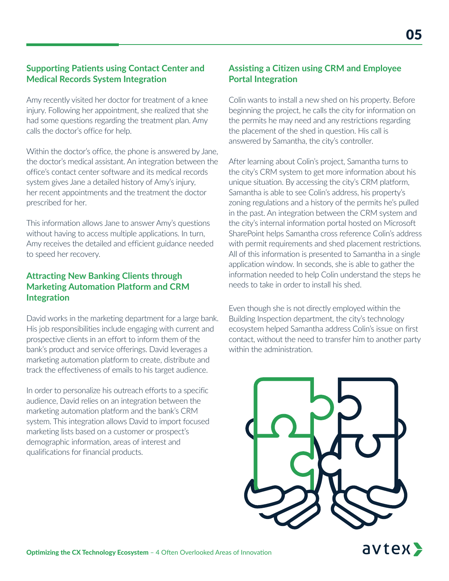#### **Supporting Patients using Contact Center and Medical Records System Integration**

Amy recently visited her doctor for treatment of a knee injury. Following her appointment, she realized that she had some questions regarding the treatment plan. Amy calls the doctor's office for help.

Within the doctor's office, the phone is answered by Jane, the doctor's medical assistant. An integration between the office's contact center software and its medical records system gives Jane a detailed history of Amy's injury, her recent appointments and the treatment the doctor prescribed for her.

This information allows Jane to answer Amy's questions without having to access multiple applications. In turn, Amy receives the detailed and efficient guidance needed to speed her recovery.

#### **Attracting New Banking Clients through Marketing Automation Platform and CRM Integration**

David works in the marketing department for a large bank. His job responsibilities include engaging with current and prospective clients in an effort to inform them of the bank's product and service offerings. David leverages a marketing automation platform to create, distribute and track the effectiveness of emails to his target audience.

In order to personalize his outreach efforts to a specific audience, David relies on an integration between the marketing automation platform and the bank's CRM system. This integration allows David to import focused marketing lists based on a customer or prospect's demographic information, areas of interest and qualifications for financial products.

#### **Assisting a Citizen using CRM and Employee Portal Integration**

Colin wants to install a new shed on his property. Before beginning the project, he calls the city for information on the permits he may need and any restrictions regarding the placement of the shed in question. His call is answered by Samantha, the city's controller.

After learning about Colin's project, Samantha turns to the city's CRM system to get more information about his unique situation. By accessing the city's CRM platform, Samantha is able to see Colin's address, his property's zoning regulations and a history of the permits he's pulled in the past. An integration between the CRM system and the city's internal information portal hosted on Microsoft SharePoint helps Samantha cross reference Colin's address with permit requirements and shed placement restrictions. All of this information is presented to Samantha in a single application window. In seconds, she is able to gather the information needed to help Colin understand the steps he needs to take in order to install his shed.

Even though she is not directly employed within the Building Inspection department, the city's technology ecosystem helped Samantha address Colin's issue on first contact, without the need to transfer him to another party within the administration.



avtex>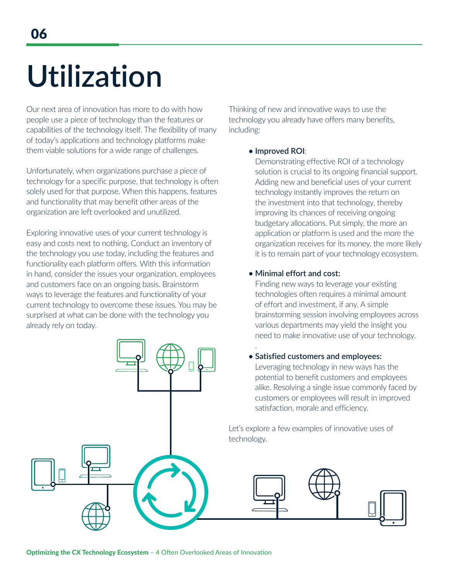# **U Utilization**

Our next area of innovation has more to do with how people use a piece of technology than the features or capabilities of the technology itself. The flexibility of many of today's applications and technology platforms make them viable solutions for a wide range of challenges.

Unfortunately, when organizations purchase a piece of technology for a specific purpose, that technology is often solely used for that purpose. When this happens, features and functionality that may benefit other areas of the organization are left overlooked and unutilized.

Exploring innovative uses of your current technology is easy and costs next to nothing. Conduct an inventory of the technology you use today, including the features and functionality each platform offers. With this information in hand, consider the issues your organization, employees and customers face on an ongoing basis. Brainstorm ways to leverage the features and functionality of your current technology to overcome these issues. You may be surprised at what can be done with the technology you already rely on today.

.

Thinking of new and innovative ways to use the technology you already have offers many benefits, including:

#### **• Improved ROI**:

Demonstrating effective ROI of a technology solution is crucial to its ongoing financial support. Adding new and beneficial uses of your current technology instantly improves the return on the investment into that technology, thereby improving its chances of receiving ongoing budgetary allocations. Put simply, the more an application or platform is used and the more the organization receives for its money, the more likely it is to remain part of your technology ecosystem.

#### **• Minimal effort and cost:**

Finding new ways to leverage your existing technologies often requires a minimal amount of effort and investment, if any. A simple brainstorming session involving employees across various departments may yield the insight you need to make innovative use of your technology.

#### **• Satisfied customers and employees:**

Leveraging technology in new ways has the potential to benefit customers and employees alike. Resolving a single issue commonly faced by customers or employees will result in improved satisfaction, morale and efficiency.

Let's explore a few examples of innovative uses of technology.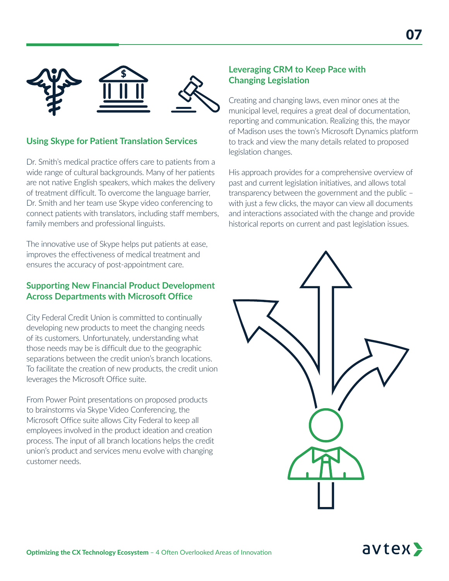

#### **Using Skype for Patient Translation Services**

Dr. Smith's medical practice offers care to patients from a wide range of cultural backgrounds. Many of her patients are not native English speakers, which makes the delivery of treatment difficult. To overcome the language barrier, Dr. Smith and her team use Skype video conferencing to connect patients with translators, including staff members, family members and professional linguists.

The innovative use of Skype helps put patients at ease, improves the effectiveness of medical treatment and ensures the accuracy of post-appointment care.

#### **Supporting New Financial Product Development Across Departments with Microsoft Office**

City Federal Credit Union is committed to continually developing new products to meet the changing needs of its customers. Unfortunately, understanding what those needs may be is difficult due to the geographic separations between the credit union's branch locations. To facilitate the creation of new products, the credit union leverages the Microsoft Office suite.

From Power Point presentations on proposed products to brainstorms via Skype Video Conferencing, the Microsoft Office suite allows City Federal to keep all employees involved in the product ideation and creation process. The input of all branch locations helps the credit union's product and services menu evolve with changing customer needs.

#### **Leveraging CRM to Keep Pace with Changing Legislation**

Creating and changing laws, even minor ones at the municipal level, requires a great deal of documentation, reporting and communication. Realizing this, the mayor of Madison uses the town's Microsoft Dynamics platform to track and view the many details related to proposed legislation changes.

His approach provides for a comprehensive overview of past and current legislation initiatives, and allows total transparency between the government and the public – with just a few clicks, the mayor can view all documents and interactions associated with the change and provide historical reports on current and past legislation issues.

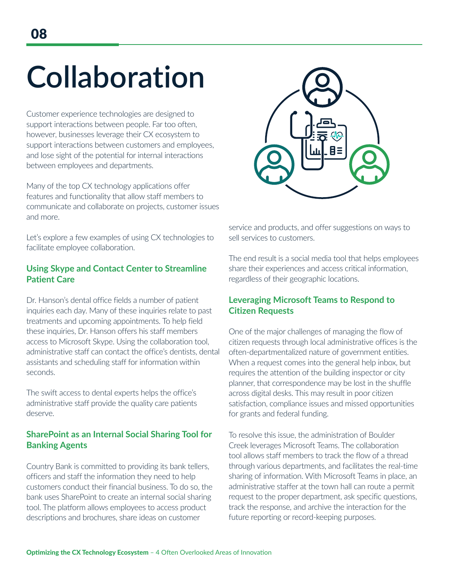## **Collaboration Collaboration**

Customer experience technologies are designed to support interactions between people. Far too often, however, businesses leverage their CX ecosystem to support interactions between customers and employees, and lose sight of the potential for internal interactions between employees and departments.

Many of the top CX technology applications offer features and functionality that allow staff members to communicate and collaborate on projects, customer issues and more.

Let's explore a few examples of using CX technologies to facilitate employee collaboration.

#### **Using Skype and Contact Center to Streamline Patient Care**

Dr. Hanson's dental office fields a number of patient inquiries each day. Many of these inquiries relate to past treatments and upcoming appointments. To help field these inquiries, Dr. Hanson offers his staff members access to Microsoft Skype. Using the collaboration tool, administrative staff can contact the office's dentists, dental assistants and scheduling staff for information within seconds.

The swift access to dental experts helps the office's administrative staff provide the quality care patients deserve.

#### **SharePoint as an Internal Social Sharing Tool for Banking Agents**

Country Bank is committed to providing its bank tellers, officers and staff the information they need to help customers conduct their financial business. To do so, the bank uses SharePoint to create an internal social sharing tool. The platform allows employees to access product descriptions and brochures, share ideas on customer



service and products, and offer suggestions on ways to sell services to customers.

The end result is a social media tool that helps employees share their experiences and access critical information, regardless of their geographic locations.

#### **Leveraging Microsoft Teams to Respond to Citizen Requests**

One of the major challenges of managing the flow of citizen requests through local administrative offices is the often-departmentalized nature of government entities. When a request comes into the general help inbox, but requires the attention of the building inspector or city planner, that correspondence may be lost in the shuffle across digital desks. This may result in poor citizen satisfaction, compliance issues and missed opportunities for grants and federal funding.

To resolve this issue, the administration of Boulder Creek leverages Microsoft Teams. The collaboration tool allows staff members to track the flow of a thread through various departments, and facilitates the real-time sharing of information. With Microsoft Teams in place, an administrative staffer at the town hall can route a permit request to the proper department, ask specific questions, track the response, and archive the interaction for the future reporting or record-keeping purposes.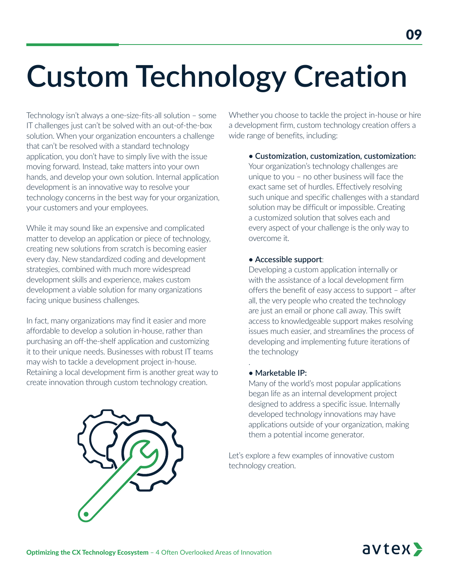# **Custom Technology Creation**

Technology isn't always a one-size-fits-all solution – some IT challenges just can't be solved with an out-of-the-box solution. When your organization encounters a challenge that can't be resolved with a standard technology application, you don't have to simply live with the issue moving forward. Instead, take matters into your own hands, and develop your own solution. Internal application development is an innovative way to resolve your technology concerns in the best way for your organization, your customers and your employees.

While it may sound like an expensive and complicated matter to develop an application or piece of technology, creating new solutions from scratch is becoming easier every day. New standardized coding and development strategies, combined with much more widespread development skills and experience, makes custom development a viable solution for many organizations facing unique business challenges.

In fact, many organizations may find it easier and more affordable to develop a solution in-house, rather than purchasing an off-the-shelf application and customizing it to their unique needs. Businesses with robust IT teams may wish to tackle a development project in-house. Retaining a local development firm is another great way to create innovation through custom technology creation.



Whether you choose to tackle the project in-house or hire a development firm, custom technology creation offers a wide range of benefits, including:

**• Customization, customization, customization:** 

Your organization's technology challenges are unique to you – no other business will face the exact same set of hurdles. Effectively resolving such unique and specific challenges with a standard solution may be difficult or impossible. Creating a customized solution that solves each and every aspect of your challenge is the only way to overcome it.

#### **• Accessible support**:

Developing a custom application internally or with the assistance of a local development firm offers the benefit of easy access to support – after all, the very people who created the technology are just an email or phone call away. This swift access to knowledgeable support makes resolving issues much easier, and streamlines the process of developing and implementing future iterations of the technology

#### **• Marketable IP:**

.

Many of the world's most popular applications began life as an internal development project designed to address a specific issue. Internally developed technology innovations may have applications outside of your organization, making them a potential income generator.

Let's explore a few examples of innovative custom technology creation.

## avtex>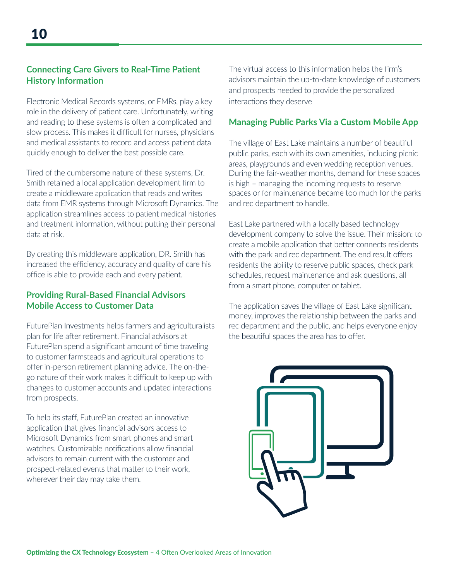#### **Connecting Care Givers to Real-Time Patient History Information**

Electronic Medical Records systems, or EMRs, play a key role in the delivery of patient care. Unfortunately, writing and reading to these systems is often a complicated and slow process. This makes it difficult for nurses, physicians and medical assistants to record and access patient data quickly enough to deliver the best possible care.

Tired of the cumbersome nature of these systems, Dr. Smith retained a local application development firm to create a middleware application that reads and writes data from EMR systems through Microsoft Dynamics. The application streamlines access to patient medical histories and treatment information, without putting their personal data at risk.

By creating this middleware application, DR. Smith has increased the efficiency, accuracy and quality of care his office is able to provide each and every patient.

#### **Providing Rural-Based Financial Advisors Mobile Access to Customer Data**

FuturePlan Investments helps farmers and agriculturalists plan for life after retirement. Financial advisors at FuturePlan spend a significant amount of time traveling to customer farmsteads and agricultural operations to offer in-person retirement planning advice. The on-thego nature of their work makes it difficult to keep up with changes to customer accounts and updated interactions from prospects.

To help its staff, FuturePlan created an innovative application that gives financial advisors access to Microsoft Dynamics from smart phones and smart watches. Customizable notifications allow financial advisors to remain current with the customer and prospect-related events that matter to their work, wherever their day may take them.

The virtual access to this information helps the firm's advisors maintain the up-to-date knowledge of customers and prospects needed to provide the personalized interactions they deserve

#### **Managing Public Parks Via a Custom Mobile App**

The village of East Lake maintains a number of beautiful public parks, each with its own amenities, including picnic areas, playgrounds and even wedding reception venues. During the fair-weather months, demand for these spaces is high – managing the incoming requests to reserve spaces or for maintenance became too much for the parks and rec department to handle.

East Lake partnered with a locally based technology development company to solve the issue. Their mission: to create a mobile application that better connects residents with the park and rec department. The end result offers residents the ability to reserve public spaces, check park schedules, request maintenance and ask questions, all from a smart phone, computer or tablet.

The application saves the village of East Lake significant money, improves the relationship between the parks and rec department and the public, and helps everyone enjoy the beautiful spaces the area has to offer.

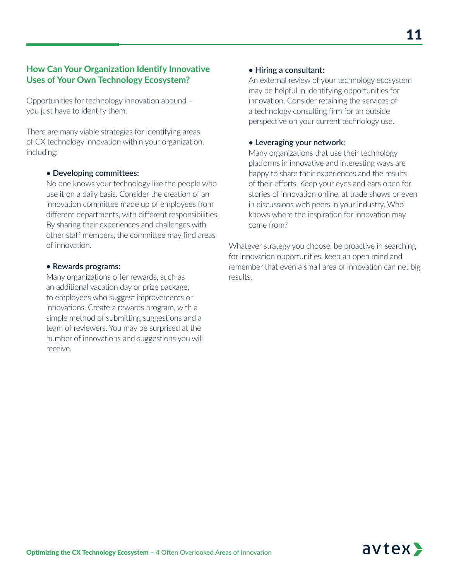#### **How Can Your Organization Identify Innovative Uses of Your Own Technology Ecosystem?**

Opportunities for technology innovation abound – you just have to identify them.

There are many viable strategies for identifying areas of CX technology innovation within your organization, including:

#### **• Developing committees:**

No one knows your technology like the people who use it on a daily basis. Consider the creation of an innovation committee made up of employees from different departments, with different responsibilities. By sharing their experiences and challenges with other staff members, the committee may find areas of innovation.

#### **• Rewards programs:**

Many organizations offer rewards, such as an additional vacation day or prize package, to employees who suggest improvements or innovations. Create a rewards program, with a simple method of submitting suggestions and a team of reviewers. You may be surprised at the number of innovations and suggestions you will receive.

#### **• Hiring a consultant:**

An external review of your technology ecosystem may be helpful in identifying opportunities for innovation. Consider retaining the services of a technology consulting firm for an outside perspective on your current technology use.

#### **• Leveraging your network:**

Many organizations that use their technology platforms in innovative and interesting ways are happy to share their experiences and the results of their efforts. Keep your eyes and ears open for stories of innovation online, at trade shows or even in discussions with peers in your industry. Who knows where the inspiration for innovation may come from?

Whatever strategy you choose, be proactive in searching for innovation opportunities, keep an open mind and remember that even a small area of innovation can net big results.